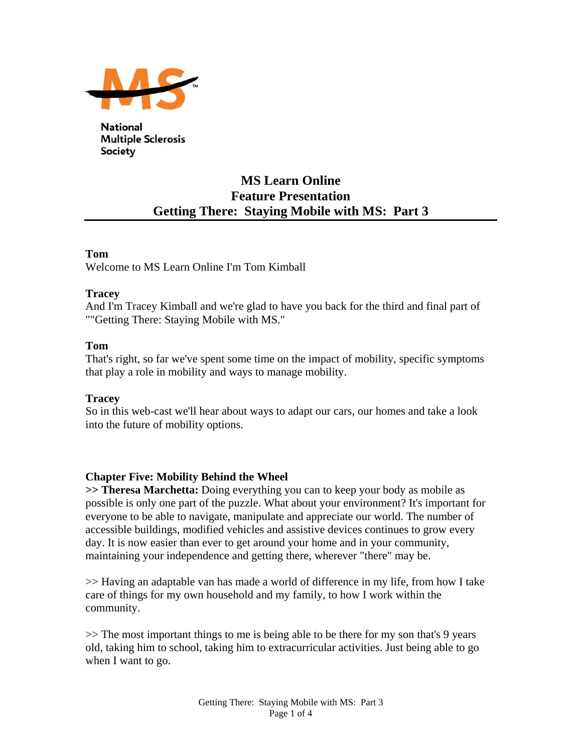

**National Multiple Sclerosis Society** 

# **MS Learn Online Feature Presentation Getting There: Staying Mobile with MS: Part 3**

### **Tom**

Welcome to MS Learn Online I'm Tom Kimball

### **Tracey**

And I'm Tracey Kimball and we're glad to have you back for the third and final part of ""Getting There: Staying Mobile with MS."

### **Tom**

That's right, so far we've spent some time on the impact of mobility, specific symptoms that play a role in mobility and ways to manage mobility.

### **Tracey**

So in this web-cast we'll hear about ways to adapt our cars, our homes and take a look into the future of mobility options.

## **Chapter Five: Mobility Behind the Wheel**

**>> Theresa Marchetta:** Doing everything you can to keep your body as mobile as possible is only one part of the puzzle. What about your environment? It's important for everyone to be able to navigate, manipulate and appreciate our world. The number of accessible buildings, modified vehicles and assistive devices continues to grow every day. It is now easier than ever to get around your home and in your community, maintaining your independence and getting there, wherever "there" may be.

>> Having an adaptable van has made a world of difference in my life, from how I take care of things for my own household and my family, to how I work within the community.

>> The most important things to me is being able to be there for my son that's 9 years old, taking him to school, taking him to extracurricular activities. Just being able to go when I want to go.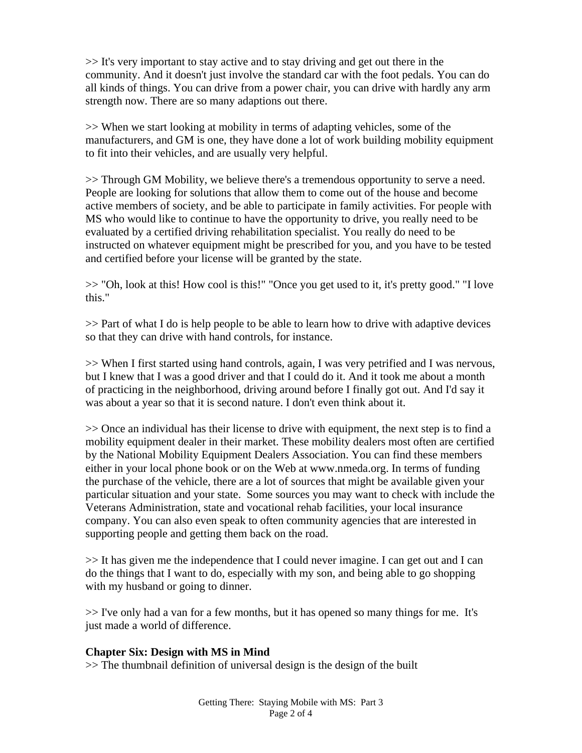>> It's very important to stay active and to stay driving and get out there in the community. And it doesn't just involve the standard car with the foot pedals. You can do all kinds of things. You can drive from a power chair, you can drive with hardly any arm strength now. There are so many adaptions out there.

>> When we start looking at mobility in terms of adapting vehicles, some of the manufacturers, and GM is one, they have done a lot of work building mobility equipment to fit into their vehicles, and are usually very helpful.

>> Through GM Mobility, we believe there's a tremendous opportunity to serve a need. People are looking for solutions that allow them to come out of the house and become active members of society, and be able to participate in family activities. For people with MS who would like to continue to have the opportunity to drive, you really need to be evaluated by a certified driving rehabilitation specialist. You really do need to be instructed on whatever equipment might be prescribed for you, and you have to be tested and certified before your license will be granted by the state.

>> "Oh, look at this! How cool is this!" "Once you get used to it, it's pretty good." "I love this."

>> Part of what I do is help people to be able to learn how to drive with adaptive devices so that they can drive with hand controls, for instance.

>> When I first started using hand controls, again, I was very petrified and I was nervous, but I knew that I was a good driver and that I could do it. And it took me about a month of practicing in the neighborhood, driving around before I finally got out. And I'd say it was about a year so that it is second nature. I don't even think about it.

>> Once an individual has their license to drive with equipment, the next step is to find a mobility equipment dealer in their market. These mobility dealers most often are certified by the National Mobility Equipment Dealers Association. You can find these members either in your local phone book or on the Web at www.nmeda.org. In terms of funding the purchase of the vehicle, there are a lot of sources that might be available given your particular situation and your state. Some sources you may want to check with include the Veterans Administration, state and vocational rehab facilities, your local insurance company. You can also even speak to often community agencies that are interested in supporting people and getting them back on the road.

>> It has given me the independence that I could never imagine. I can get out and I can do the things that I want to do, especially with my son, and being able to go shopping with my husband or going to dinner.

>> I've only had a van for a few months, but it has opened so many things for me. It's just made a world of difference.

## **Chapter Six: Design with MS in Mind**

>> The thumbnail definition of universal design is the design of the built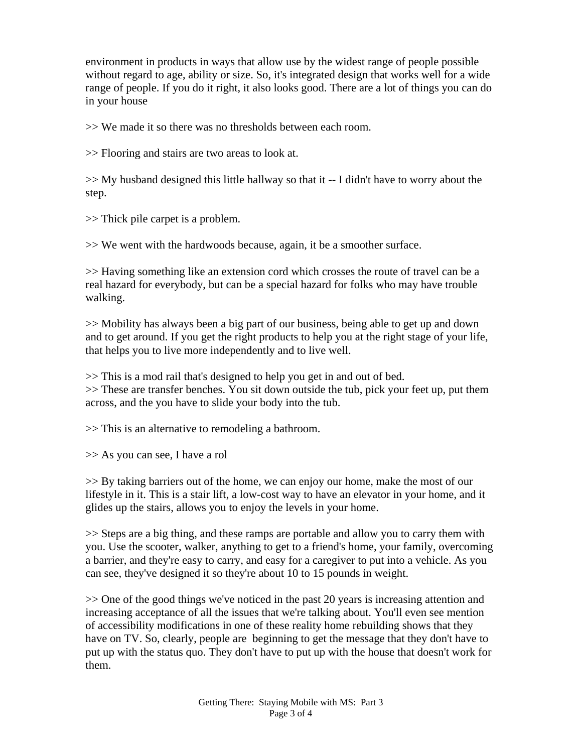environment in products in ways that allow use by the widest range of people possible without regard to age, ability or size. So, it's integrated design that works well for a wide range of people. If you do it right, it also looks good. There are a lot of things you can do in your house

>> We made it so there was no thresholds between each room.

>> Flooring and stairs are two areas to look at.

 $\gg$  My husband designed this little hallway so that it  $-1$  didn't have to worry about the step.

>> Thick pile carpet is a problem.

>> We went with the hardwoods because, again, it be a smoother surface.

>> Having something like an extension cord which crosses the route of travel can be a real hazard for everybody, but can be a special hazard for folks who may have trouble walking.

>> Mobility has always been a big part of our business, being able to get up and down and to get around. If you get the right products to help you at the right stage of your life, that helps you to live more independently and to live well.

>> This is a mod rail that's designed to help you get in and out of bed. >> These are transfer benches. You sit down outside the tub, pick your feet up, put them across, and the you have to slide your body into the tub.

>> This is an alternative to remodeling a bathroom.

>> As you can see, I have a rol

>> By taking barriers out of the home, we can enjoy our home, make the most of our lifestyle in it. This is a stair lift, a low-cost way to have an elevator in your home, and it glides up the stairs, allows you to enjoy the levels in your home.

>> Steps are a big thing, and these ramps are portable and allow you to carry them with you. Use the scooter, walker, anything to get to a friend's home, your family, overcoming a barrier, and they're easy to carry, and easy for a caregiver to put into a vehicle. As you can see, they've designed it so they're about 10 to 15 pounds in weight.

>> One of the good things we've noticed in the past 20 years is increasing attention and increasing acceptance of all the issues that we're talking about. You'll even see mention of accessibility modifications in one of these reality home rebuilding shows that they have on TV. So, clearly, people are beginning to get the message that they don't have to put up with the status quo. They don't have to put up with the house that doesn't work for them.